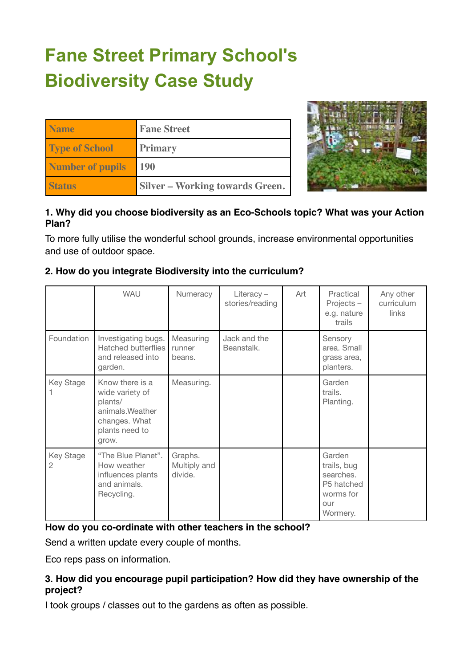# **Fane Street Primary School's Biodiversity Case Study**

| <b>Name</b>             | <b>Fane Street</b>                     |
|-------------------------|----------------------------------------|
| <b>Type of School</b>   | <b>Primary</b>                         |
| <b>Number of pupils</b> | <b>190</b>                             |
| <b>Status</b>           | <b>Silver – Working towards Green.</b> |



## **1. Why did you choose biodiversity as an Eco-Schools topic? What was your Action Plan?**

To more fully utilise the wonderful school grounds, increase environmental opportunities and use of outdoor space.

|                | <b>WAU</b>                                                                                                    | Numeracy                           | Literacy-<br>stories/reading | Art | Practical<br>Projects-<br>e.g. nature<br>trails                                  | Any other<br>curriculum<br><b>links</b> |
|----------------|---------------------------------------------------------------------------------------------------------------|------------------------------------|------------------------------|-----|----------------------------------------------------------------------------------|-----------------------------------------|
| Foundation     | Investigating bugs.<br><b>Hatched butterflies</b><br>and released into<br>garden.                             | Measuring<br>runner<br>beans.      | Jack and the<br>Beanstalk.   |     | Sensory<br>area. Small<br>grass area,<br>planters.                               |                                         |
| Key Stage      | Know there is a<br>wide variety of<br>plants/<br>animals. Weather<br>changes. What<br>plants need to<br>grow. | Measuring.                         |                              |     | Garden<br>trails.<br>Planting.                                                   |                                         |
| Key Stage<br>2 | "The Blue Planet".<br>How weather<br>influences plants<br>and animals.<br>Recycling.                          | Graphs.<br>Multiply and<br>divide. |                              |     | Garden<br>trails, bug<br>searches.<br>P5 hatched<br>worms for<br>our<br>Wormery. |                                         |

## **2. How do you integrate Biodiversity into the curriculum?**

## **How do you co-ordinate with other teachers in the school?**

Send a written update every couple of months.

Eco reps pass on information.

## **3. How did you encourage pupil participation? How did they have ownership of the project?**

I took groups / classes out to the gardens as often as possible.